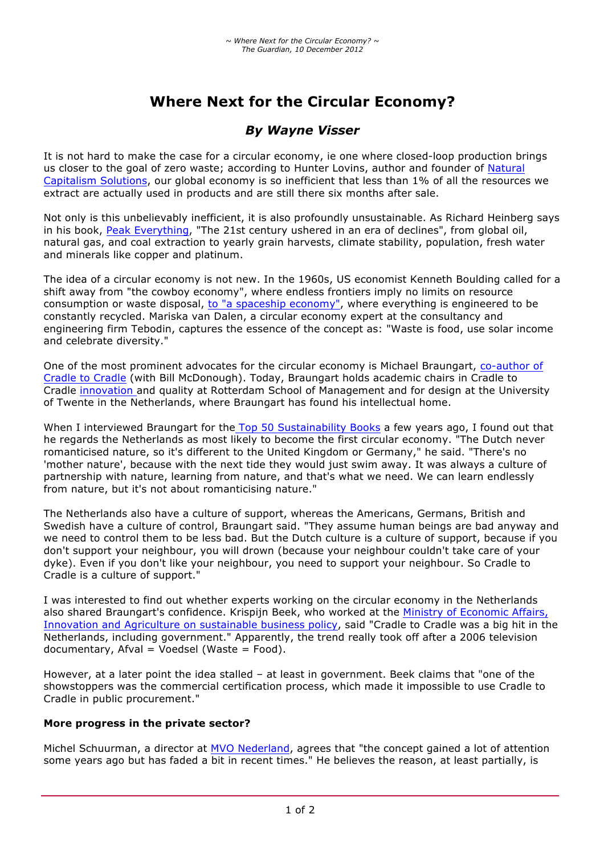# **Where Next for the Circular Economy?**

# *By Wayne Visser*

It is not hard to make the case for a circular economy, ie one where closed-loop production brings us closer to the goal of zero waste; according to Hunter Lovins, author and founder of Natural Capitalism Solutions, our global economy is so inefficient that less than 1% of all the resources we extract are actually used in products and are still there six months after sale.

Not only is this unbelievably inefficient, it is also profoundly unsustainable. As Richard Heinberg says in his book, Peak Everything, "The 21st century ushered in an era of declines", from global oil, natural gas, and coal extraction to yearly grain harvests, climate stability, population, fresh water and minerals like copper and platinum.

The idea of a circular economy is not new. In the 1960s, US economist Kenneth Boulding called for a shift away from "the cowboy economy", where endless frontiers imply no limits on resource consumption or waste disposal, to "a spaceship economy", where everything is engineered to be constantly recycled. Mariska van Dalen, a circular economy expert at the consultancy and engineering firm Tebodin, captures the essence of the concept as: "Waste is food, use solar income and celebrate diversity."

One of the most prominent advocates for the circular economy is Michael Braungart, co-author of Cradle to Cradle (with Bill McDonough). Today, Braungart holds academic chairs in Cradle to Cradle innovation and quality at Rotterdam School of Management and for design at the University of Twente in the Netherlands, where Braungart has found his intellectual home.

When I interviewed Braungart for the Top 50 Sustainability Books a few years ago, I found out that he regards the Netherlands as most likely to become the first circular economy. "The Dutch never romanticised nature, so it's different to the United Kingdom or Germany," he said. "There's no 'mother nature', because with the next tide they would just swim away. It was always a culture of partnership with nature, learning from nature, and that's what we need. We can learn endlessly from nature, but it's not about romanticising nature."

The Netherlands also have a culture of support, whereas the Americans, Germans, British and Swedish have a culture of control, Braungart said. "They assume human beings are bad anyway and we need to control them to be less bad. But the Dutch culture is a culture of support, because if you don't support your neighbour, you will drown (because your neighbour couldn't take care of your dyke). Even if you don't like your neighbour, you need to support your neighbour. So Cradle to Cradle is a culture of support."

I was interested to find out whether experts working on the circular economy in the Netherlands also shared Braungart's confidence. Krispijn Beek, who worked at the Ministry of Economic Affairs, Innovation and Agriculture on sustainable business policy, said "Cradle to Cradle was a big hit in the Netherlands, including government." Apparently, the trend really took off after a 2006 television  $documentary$ ,  $A fval = Voedsel$  (Waste = Food).

However, at a later point the idea stalled – at least in government. Beek claims that "one of the showstoppers was the commercial certification process, which made it impossible to use Cradle to Cradle in public procurement."

#### **More progress in the private sector?**

Michel Schuurman, a director at MVO Nederland, agrees that "the concept gained a lot of attention some years ago but has faded a bit in recent times." He believes the reason, at least partially, is